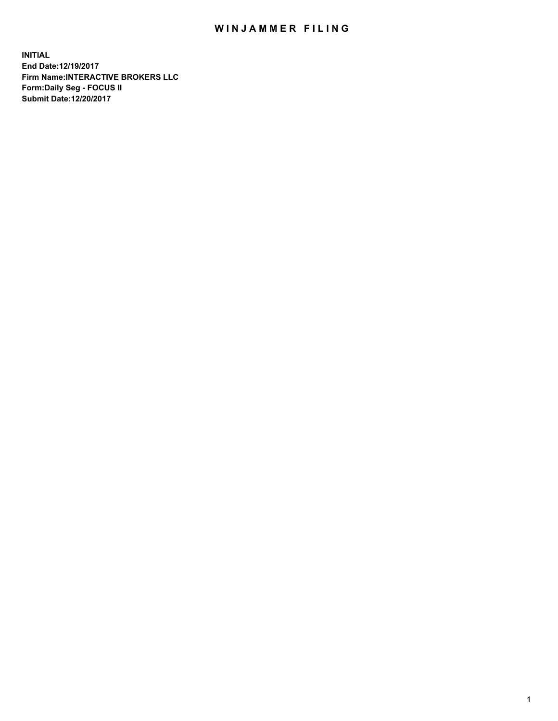## WIN JAMMER FILING

**INITIAL End Date:12/19/2017 Firm Name:INTERACTIVE BROKERS LLC Form:Daily Seg - FOCUS II Submit Date:12/20/2017**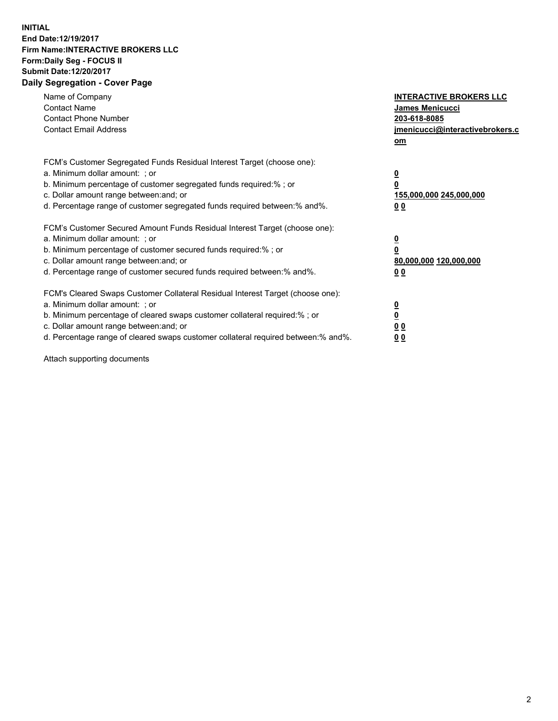## **INITIAL End Date:12/19/2017 Firm Name:INTERACTIVE BROKERS LLC Form:Daily Seg - FOCUS II Submit Date:12/20/2017 Daily Segregation - Cover Page**

| Name of Company<br><b>Contact Name</b><br><b>Contact Phone Number</b><br><b>Contact Email Address</b>                                                                                                                                                                                                                          | <b>INTERACTIVE BROKERS LLC</b><br><b>James Menicucci</b><br>203-618-8085<br>jmenicucci@interactivebrokers.c<br>om |
|--------------------------------------------------------------------------------------------------------------------------------------------------------------------------------------------------------------------------------------------------------------------------------------------------------------------------------|-------------------------------------------------------------------------------------------------------------------|
| FCM's Customer Segregated Funds Residual Interest Target (choose one):<br>a. Minimum dollar amount: ; or<br>b. Minimum percentage of customer segregated funds required:%; or<br>c. Dollar amount range between: and; or<br>d. Percentage range of customer segregated funds required between:% and%.                          | $\overline{\mathbf{0}}$<br>0<br>155,000,000 245,000,000<br>00                                                     |
| FCM's Customer Secured Amount Funds Residual Interest Target (choose one):<br>a. Minimum dollar amount: ; or<br>b. Minimum percentage of customer secured funds required:%; or<br>c. Dollar amount range between: and; or<br>d. Percentage range of customer secured funds required between: % and %.                          | $\overline{\mathbf{0}}$<br>0<br>80,000,000 120,000,000<br>0 <sub>0</sub>                                          |
| FCM's Cleared Swaps Customer Collateral Residual Interest Target (choose one):<br>a. Minimum dollar amount: ; or<br>b. Minimum percentage of cleared swaps customer collateral required:% ; or<br>c. Dollar amount range between: and; or<br>d. Percentage range of cleared swaps customer collateral required between:% and%. | $\overline{\mathbf{0}}$<br>$\overline{\mathbf{0}}$<br>0 <sub>0</sub><br><u>00</u>                                 |

Attach supporting documents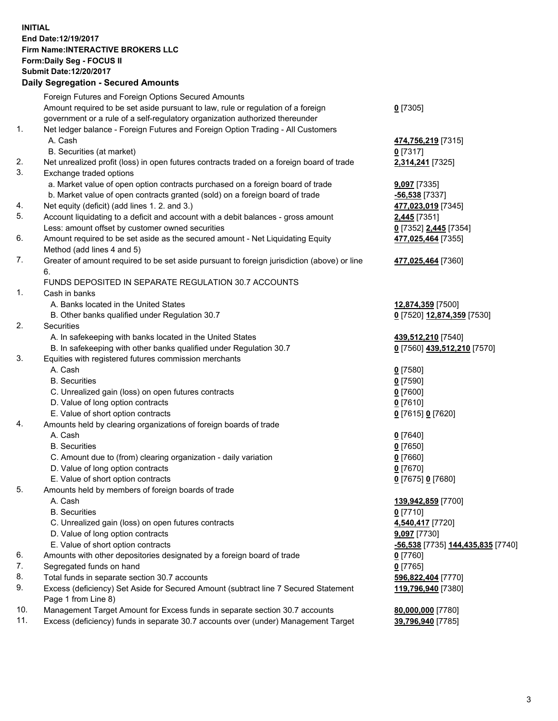## **INITIAL End Date:12/19/2017 Firm Name:INTERACTIVE BROKERS LLC Form:Daily Seg - FOCUS II Submit Date:12/20/2017**<br>**Daily Segregation - Secured Amounts Daily Segregation - Secured**

|     | Daily Segregation - Secured Amounts                                                         |                                   |
|-----|---------------------------------------------------------------------------------------------|-----------------------------------|
|     | Foreign Futures and Foreign Options Secured Amounts                                         |                                   |
|     | Amount required to be set aside pursuant to law, rule or regulation of a foreign            | $0$ [7305]                        |
|     | government or a rule of a self-regulatory organization authorized thereunder                |                                   |
| 1.  | Net ledger balance - Foreign Futures and Foreign Option Trading - All Customers             |                                   |
|     |                                                                                             |                                   |
|     | A. Cash                                                                                     | 474,756,219 [7315]                |
|     | B. Securities (at market)                                                                   | $0$ [7317]                        |
| 2.  | Net unrealized profit (loss) in open futures contracts traded on a foreign board of trade   | 2,314,241 [7325]                  |
| 3.  | Exchange traded options                                                                     |                                   |
|     | a. Market value of open option contracts purchased on a foreign board of trade              | <b>9,097</b> [7335]               |
|     | b. Market value of open contracts granted (sold) on a foreign board of trade                | $-56,538$ [7337]                  |
| 4.  | Net equity (deficit) (add lines 1.2. and 3.)                                                | 477,023,019 [7345]                |
| 5.  | Account liquidating to a deficit and account with a debit balances - gross amount           | 2,445 [7351]                      |
|     | Less: amount offset by customer owned securities                                            | 0 [7352] 2,445 [7354]             |
| 6.  | Amount required to be set aside as the secured amount - Net Liquidating Equity              | 477,025,464 [7355]                |
|     | Method (add lines 4 and 5)                                                                  |                                   |
| 7.  | Greater of amount required to be set aside pursuant to foreign jurisdiction (above) or line |                                   |
|     |                                                                                             | 477,025,464 [7360]                |
|     | 6.                                                                                          |                                   |
|     | FUNDS DEPOSITED IN SEPARATE REGULATION 30.7 ACCOUNTS                                        |                                   |
| 1.  | Cash in banks                                                                               |                                   |
|     | A. Banks located in the United States                                                       | 12,874,359 [7500]                 |
|     | B. Other banks qualified under Regulation 30.7                                              | 0 [7520] 12,874,359 [7530]        |
| 2.  | Securities                                                                                  |                                   |
|     | A. In safekeeping with banks located in the United States                                   | 439,512,210 [7540]                |
|     | B. In safekeeping with other banks qualified under Regulation 30.7                          | 0 [7560] 439,512,210 [7570]       |
| 3.  | Equities with registered futures commission merchants                                       |                                   |
|     | A. Cash                                                                                     | $0$ [7580]                        |
|     | <b>B.</b> Securities                                                                        | $0$ [7590]                        |
|     | C. Unrealized gain (loss) on open futures contracts                                         | $0$ [7600]                        |
|     | D. Value of long option contracts                                                           | $0$ [7610]                        |
|     | E. Value of short option contracts                                                          | 0 [7615] 0 [7620]                 |
| 4.  | Amounts held by clearing organizations of foreign boards of trade                           |                                   |
|     | A. Cash                                                                                     |                                   |
|     |                                                                                             | $0$ [7640]                        |
|     | <b>B.</b> Securities                                                                        | $0$ [7650]                        |
|     | C. Amount due to (from) clearing organization - daily variation                             | $0$ [7660]                        |
|     | D. Value of long option contracts                                                           | $0$ [7670]                        |
|     | E. Value of short option contracts                                                          | 0 [7675] 0 [7680]                 |
| 5.  | Amounts held by members of foreign boards of trade                                          |                                   |
|     | A. Cash                                                                                     | 139,942,859 [7700]                |
|     | <b>B.</b> Securities                                                                        | $0$ [7710]                        |
|     | C. Unrealized gain (loss) on open futures contracts                                         | 4,540,417 [7720]                  |
|     | D. Value of long option contracts                                                           | 9,097 [7730]                      |
|     | E. Value of short option contracts                                                          | -56,538 [7735] 144,435,835 [7740] |
| 6.  | Amounts with other depositories designated by a foreign board of trade                      | 0 [7760]                          |
| 7.  | Segregated funds on hand                                                                    | $0$ [7765]                        |
| 8.  | Total funds in separate section 30.7 accounts                                               | 596,822,404 [7770]                |
| 9.  |                                                                                             |                                   |
|     | Excess (deficiency) Set Aside for Secured Amount (subtract line 7 Secured Statement         | 119,796,940 [7380]                |
|     | Page 1 from Line 8)                                                                         |                                   |
| 10. | Management Target Amount for Excess funds in separate section 30.7 accounts                 | 80,000,000 [7780]                 |
| 11. | Excess (deficiency) funds in separate 30.7 accounts over (under) Management Target          | 39,796,940 [7785]                 |
|     |                                                                                             |                                   |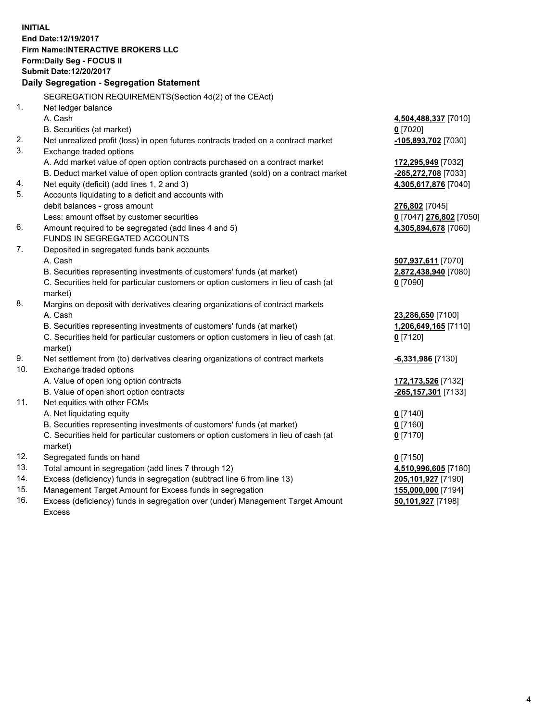**INITIAL End Date:12/19/2017 Firm Name:INTERACTIVE BROKERS LLC Form:Daily Seg - FOCUS II Submit Date:12/20/2017 Daily Segregation - Segregation Statement** SEGREGATION REQUIREMENTS(Section 4d(2) of the CEAct) 1. Net ledger balance A. Cash **4,504,488,337** [7010] B. Securities (at market) **0** [7020] 2. Net unrealized profit (loss) in open futures contracts traded on a contract market **-105,893,702** [7030] 3. Exchange traded options A. Add market value of open option contracts purchased on a contract market **172,295,949** [7032] B. Deduct market value of open option contracts granted (sold) on a contract market **-265,272,708** [7033] 4. Net equity (deficit) (add lines 1, 2 and 3) **4,305,617,876** [7040] 5. Accounts liquidating to a deficit and accounts with debit balances - gross amount **276,802** [7045] Less: amount offset by customer securities **0** [7047] **276,802** [7050] 6. Amount required to be segregated (add lines 4 and 5) **4,305,894,678** [7060] FUNDS IN SEGREGATED ACCOUNTS 7. Deposited in segregated funds bank accounts A. Cash **507,937,611** [7070] B. Securities representing investments of customers' funds (at market) **2,872,438,940** [7080] C. Securities held for particular customers or option customers in lieu of cash (at market) **0** [7090] 8. Margins on deposit with derivatives clearing organizations of contract markets A. Cash **23,286,650** [7100] B. Securities representing investments of customers' funds (at market) **1,206,649,165** [7110] C. Securities held for particular customers or option customers in lieu of cash (at market) **0** [7120] 9. Net settlement from (to) derivatives clearing organizations of contract markets **-6,331,986** [7130] 10. Exchange traded options A. Value of open long option contracts **172,173,526** [7132] B. Value of open short option contracts **-265,157,301** [7133] 11. Net equities with other FCMs A. Net liquidating equity **0** [7140] B. Securities representing investments of customers' funds (at market) **0** [7160] C. Securities held for particular customers or option customers in lieu of cash (at market) **0** [7170] 12. Segregated funds on hand **0** [7150] 13. Total amount in segregation (add lines 7 through 12) **4,510,996,605** [7180] 14. Excess (deficiency) funds in segregation (subtract line 6 from line 13) **205,101,927** [7190] 15. Management Target Amount for Excess funds in segregation **155,000,000** [7194] **50,101,927** [7198]

16. Excess (deficiency) funds in segregation over (under) Management Target Amount Excess

4